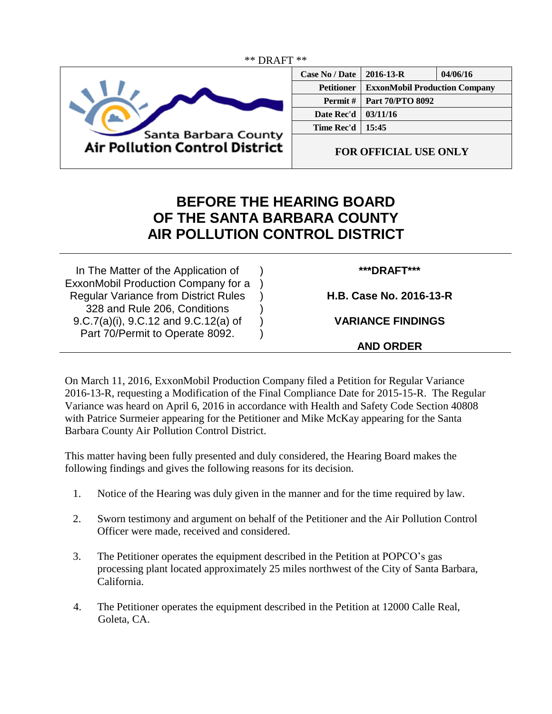

| <b>Case No / Date</b> | $2016 - 13 - R$                      | 04/06/16 |
|-----------------------|--------------------------------------|----------|
| <b>Petitioner</b>     | <b>ExxonMobil Production Company</b> |          |
| Permit#               | <b>Part 70/PTO 8092</b>              |          |
| Date Rec'd            | 03/11/16                             |          |
| Time Rec'd            | 15:45                                |          |
|                       |                                      |          |

**FOR OFFICIAL USE ONLY**

## **BEFORE THE HEARING BOARD OF THE SANTA BARBARA COUNTY AIR POLLUTION CONTROL DISTRICT**

)  $\lambda$ ) ) ) )

In The Matter of the Application of ExxonMobil Production Company for a Regular Variance from District Rules 328 and Rule 206, Conditions 9.C.7(a)(i), 9.C.12 and 9.C.12(a) of Part 70/Permit to Operate 8092.

**\*\*\*DRAFT\*\*\***

**H.B. Case No. 2016-13-R**

**VARIANCE FINDINGS**

## **AND ORDER**

On March 11, 2016, ExxonMobil Production Company filed a Petition for Regular Variance 2016-13-R, requesting a Modification of the Final Compliance Date for 2015-15-R. The Regular Variance was heard on April 6, 2016 in accordance with Health and Safety Code Section 40808 with Patrice Surmeier appearing for the Petitioner and Mike McKay appearing for the Santa Barbara County Air Pollution Control District.

This matter having been fully presented and duly considered, the Hearing Board makes the following findings and gives the following reasons for its decision.

- 1. Notice of the Hearing was duly given in the manner and for the time required by law.
- 2. Sworn testimony and argument on behalf of the Petitioner and the Air Pollution Control Officer were made, received and considered.
- 3. The Petitioner operates the equipment described in the Petition at POPCO's gas processing plant located approximately 25 miles northwest of the City of Santa Barbara, California.
- 4. The Petitioner operates the equipment described in the Petition at 12000 Calle Real, Goleta, CA.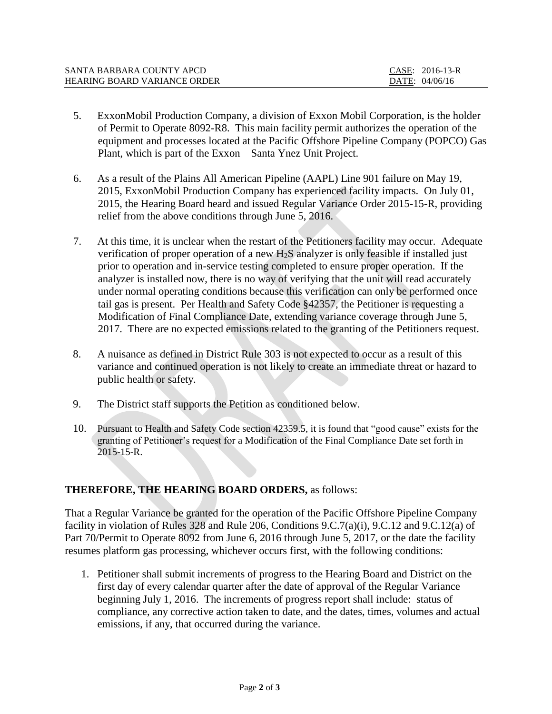| SANTA BARBARA COUNTY APCD    | CASE: 2016-13-R |
|------------------------------|-----------------|
| HEARING BOARD VARIANCE ORDER | DATE: 04/06/16  |

- 5. ExxonMobil Production Company, a division of Exxon Mobil Corporation, is the holder of Permit to Operate 8092-R8. This main facility permit authorizes the operation of the equipment and processes located at the Pacific Offshore Pipeline Company (POPCO) Gas Plant, which is part of the Exxon – Santa Ynez Unit Project.
- 6. As a result of the Plains All American Pipeline (AAPL) Line 901 failure on May 19, 2015, ExxonMobil Production Company has experienced facility impacts. On July 01, 2015, the Hearing Board heard and issued Regular Variance Order 2015-15-R, providing relief from the above conditions through June 5, 2016.
- 7. At this time, it is unclear when the restart of the Petitioners facility may occur. Adequate verification of proper operation of a new H2S analyzer is only feasible if installed just prior to operation and in-service testing completed to ensure proper operation. If the analyzer is installed now, there is no way of verifying that the unit will read accurately under normal operating conditions because this verification can only be performed once tail gas is present. Per Health and Safety Code §42357, the Petitioner is requesting a Modification of Final Compliance Date, extending variance coverage through June 5, 2017. There are no expected emissions related to the granting of the Petitioners request.
- 8. A nuisance as defined in District Rule 303 is not expected to occur as a result of this variance and continued operation is not likely to create an immediate threat or hazard to public health or safety.
- 9. The District staff supports the Petition as conditioned below.
- 10. Pursuant to Health and Safety Code section 42359.5, it is found that "good cause" exists for the granting of Petitioner's request for a Modification of the Final Compliance Date set forth in 2015-15-R.

## **THEREFORE, THE HEARING BOARD ORDERS,** as follows:

That a Regular Variance be granted for the operation of the Pacific Offshore Pipeline Company facility in violation of Rules 328 and Rule 206, Conditions 9.C.7(a)(i), 9.C.12 and 9.C.12(a) of Part 70/Permit to Operate 8092 from June 6, 2016 through June 5, 2017, or the date the facility resumes platform gas processing, whichever occurs first, with the following conditions:

1. Petitioner shall submit increments of progress to the Hearing Board and District on the first day of every calendar quarter after the date of approval of the Regular Variance beginning July 1, 2016. The increments of progress report shall include: status of compliance, any corrective action taken to date, and the dates, times, volumes and actual emissions, if any, that occurred during the variance.